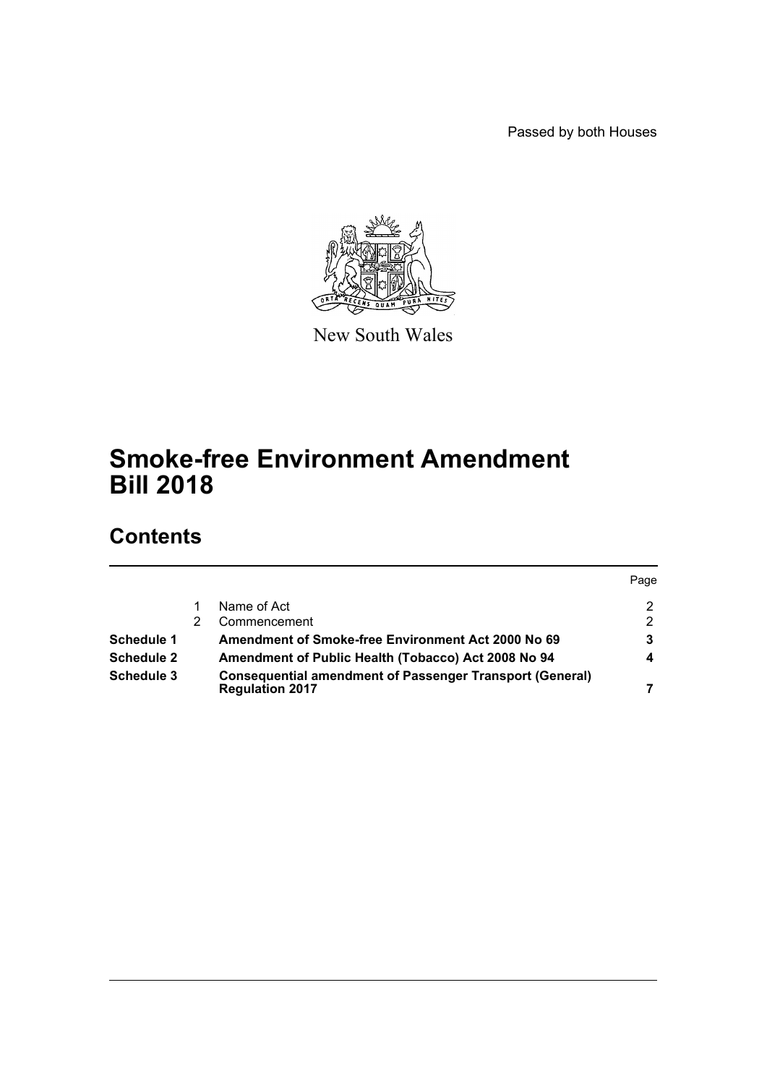Passed by both Houses



New South Wales

# **Smoke-free Environment Amendment Bill 2018**

# **Contents**

|                   |                                                                                           | Page |
|-------------------|-------------------------------------------------------------------------------------------|------|
|                   | Name of Act                                                                               |      |
|                   | Commencement                                                                              | 2    |
| Schedule 1        | Amendment of Smoke-free Environment Act 2000 No 69                                        |      |
| <b>Schedule 2</b> | Amendment of Public Health (Tobacco) Act 2008 No 94                                       |      |
| Schedule 3        | <b>Consequential amendment of Passenger Transport (General)</b><br><b>Regulation 2017</b> |      |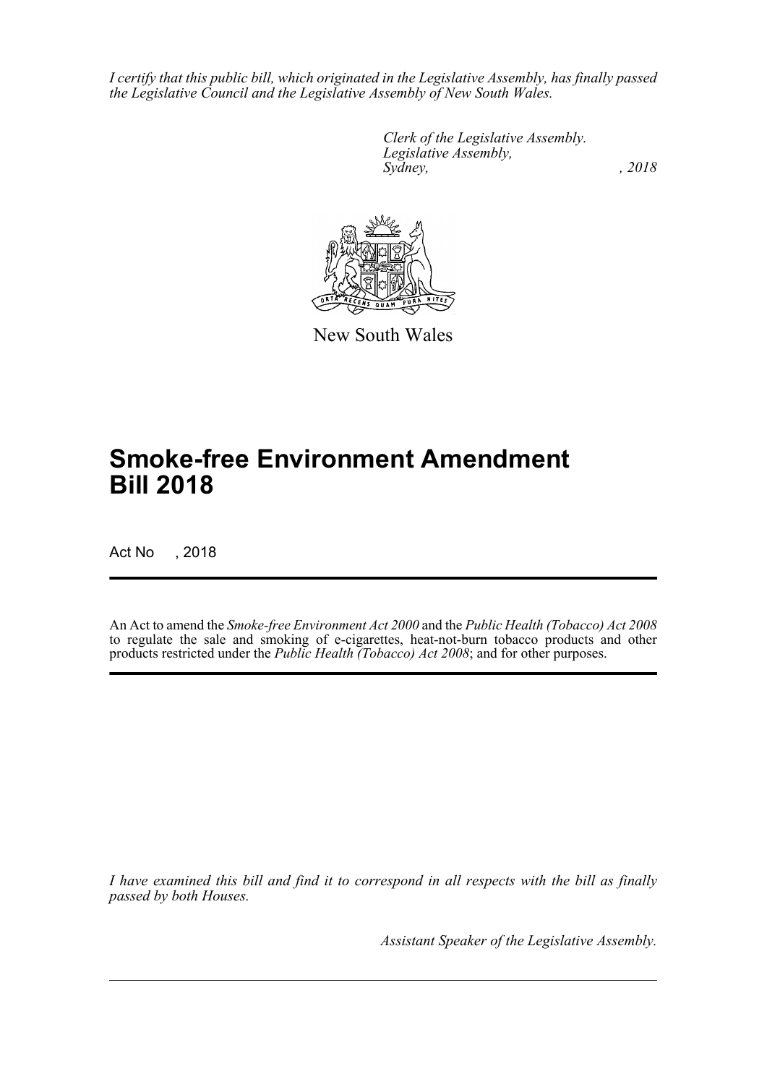*I certify that this public bill, which originated in the Legislative Assembly, has finally passed the Legislative Council and the Legislative Assembly of New South Wales.*

> *Clerk of the Legislative Assembly. Legislative Assembly, Sydney, , 2018*



New South Wales

# **Smoke-free Environment Amendment Bill 2018**

Act No , 2018

An Act to amend the *Smoke-free Environment Act 2000* and the *Public Health (Tobacco) Act 2008* to regulate the sale and smoking of e-cigarettes, heat-not-burn tobacco products and other products restricted under the *Public Health (Tobacco) Act 2008*; and for other purposes.

*I have examined this bill and find it to correspond in all respects with the bill as finally passed by both Houses.*

*Assistant Speaker of the Legislative Assembly.*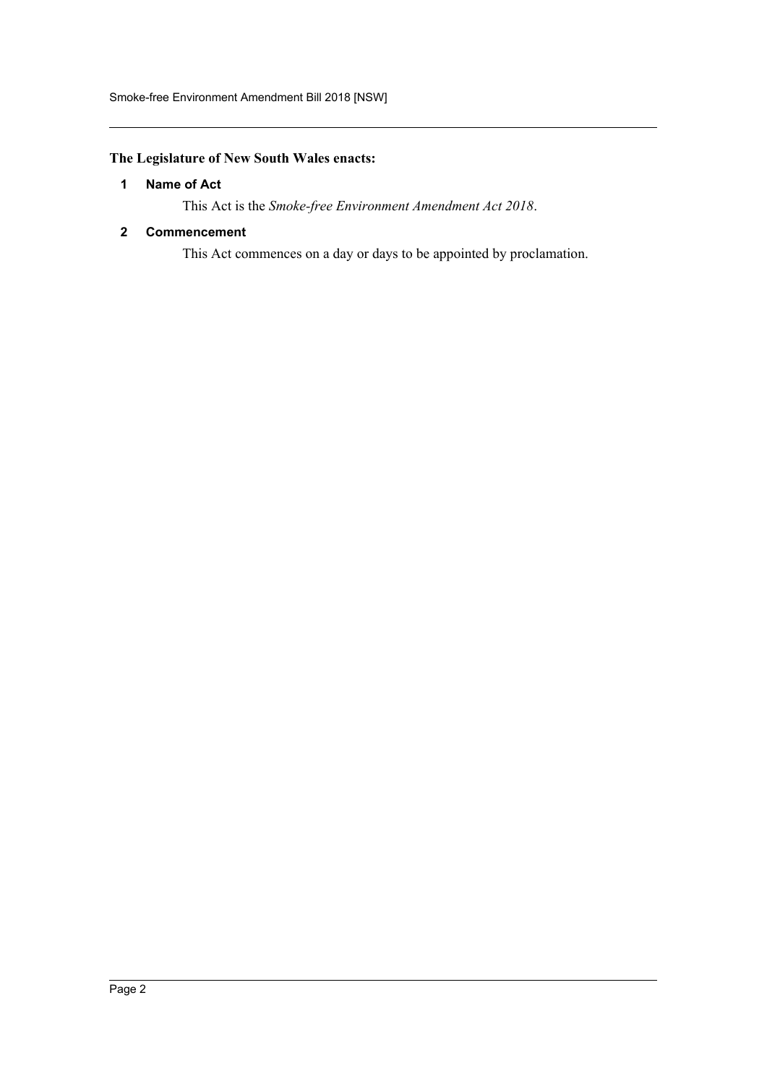# <span id="page-2-0"></span>**The Legislature of New South Wales enacts:**

# **1 Name of Act**

This Act is the *Smoke-free Environment Amendment Act 2018*.

### <span id="page-2-1"></span>**2 Commencement**

This Act commences on a day or days to be appointed by proclamation.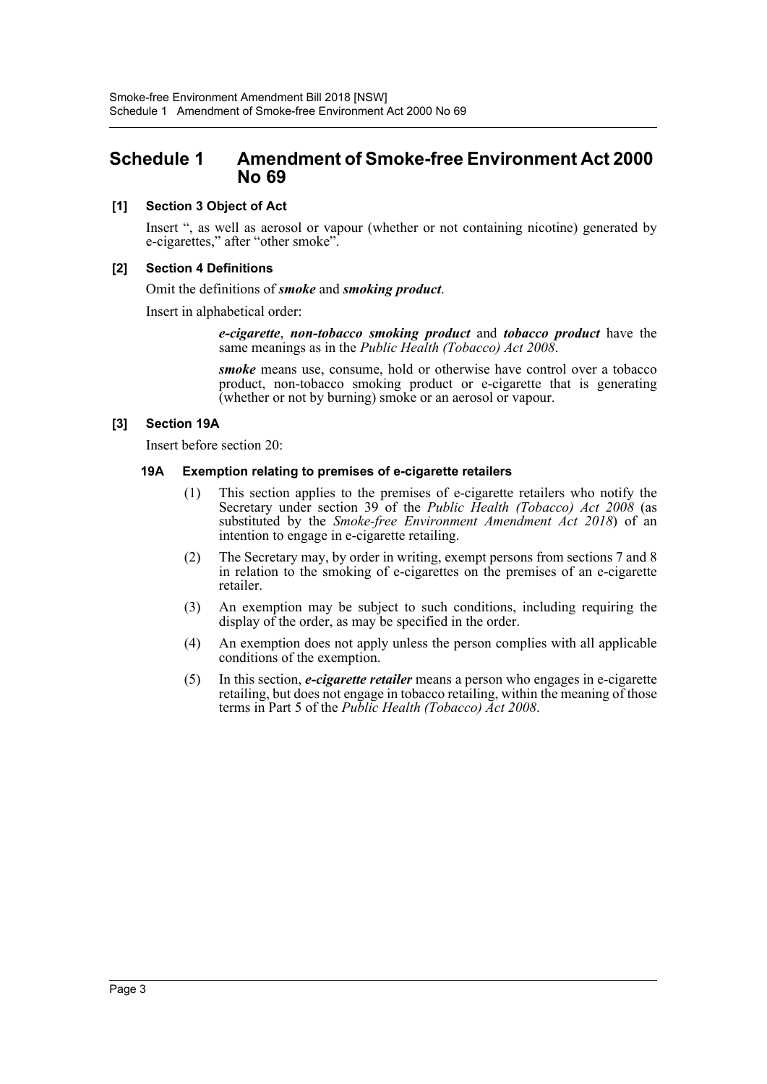# <span id="page-3-0"></span>**Schedule 1 Amendment of Smoke-free Environment Act 2000 No 69**

### **[1] Section 3 Object of Act**

Insert ", as well as aerosol or vapour (whether or not containing nicotine) generated by e-cigarettes," after "other smoke".

#### **[2] Section 4 Definitions**

#### Omit the definitions of *smoke* and *smoking product*.

Insert in alphabetical order:

*e-cigarette*, *non-tobacco smoking product* and *tobacco product* have the same meanings as in the *Public Health (Tobacco) Act 2008*.

*smoke* means use, consume, hold or otherwise have control over a tobacco product, non-tobacco smoking product or e-cigarette that is generating (whether or not by burning) smoke or an aerosol or vapour.

#### **[3] Section 19A**

Insert before section 20:

#### **19A Exemption relating to premises of e-cigarette retailers**

- (1) This section applies to the premises of e-cigarette retailers who notify the Secretary under section 39 of the *Public Health (Tobacco) Act 2008* (as substituted by the *Smoke-free Environment Amendment Act 2018*) of an intention to engage in e-cigarette retailing.
- (2) The Secretary may, by order in writing, exempt persons from sections 7 and 8 in relation to the smoking of e-cigarettes on the premises of an e-cigarette retailer.
- (3) An exemption may be subject to such conditions, including requiring the display of the order, as may be specified in the order.
- (4) An exemption does not apply unless the person complies with all applicable conditions of the exemption.
- (5) In this section, *e-cigarette retailer* means a person who engages in e-cigarette retailing, but does not engage in tobacco retailing, within the meaning of those terms in Part 5 of the *Public Health (Tobacco) Act 2008*.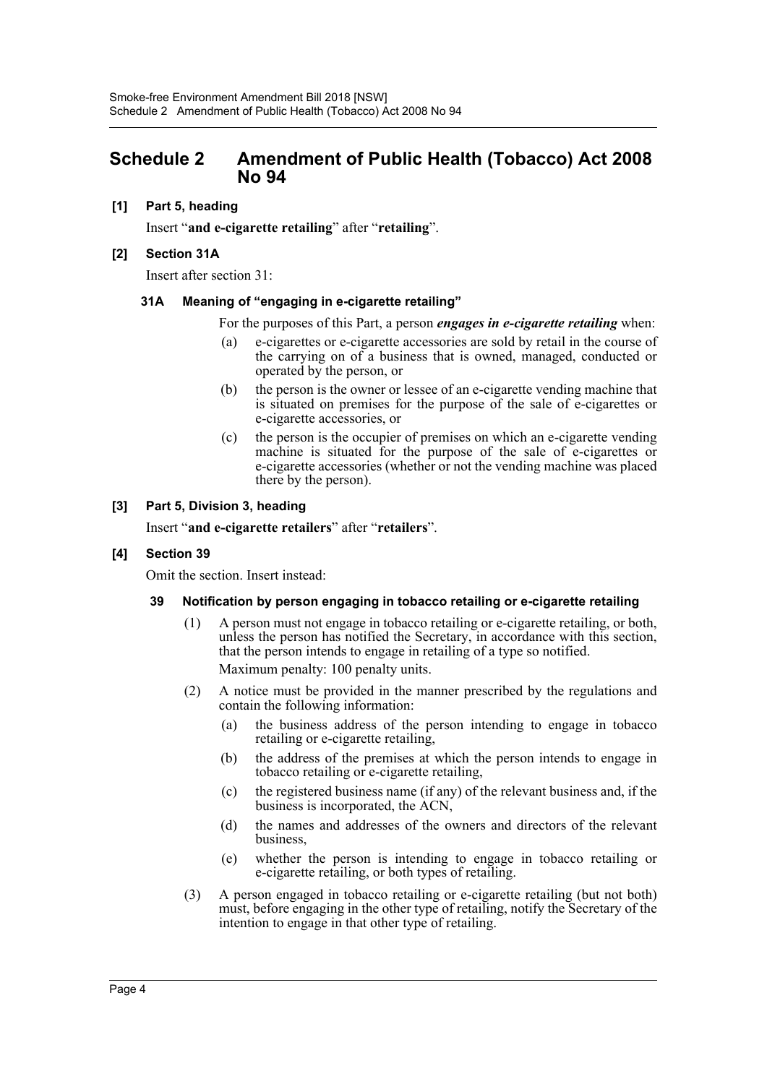# <span id="page-4-0"></span>**Schedule 2 Amendment of Public Health (Tobacco) Act 2008 No 94**

### **[1] Part 5, heading**

Insert "**and e-cigarette retailing**" after "**retailing**".

#### **[2] Section 31A**

Insert after section 31:

#### **31A Meaning of "engaging in e-cigarette retailing"**

For the purposes of this Part, a person *engages in e-cigarette retailing* when:

- (a) e-cigarettes or e-cigarette accessories are sold by retail in the course of the carrying on of a business that is owned, managed, conducted or operated by the person, or
- (b) the person is the owner or lessee of an e-cigarette vending machine that is situated on premises for the purpose of the sale of e-cigarettes or e-cigarette accessories, or
- (c) the person is the occupier of premises on which an e-cigarette vending machine is situated for the purpose of the sale of e-cigarettes or e-cigarette accessories (whether or not the vending machine was placed there by the person).

# **[3] Part 5, Division 3, heading**

Insert "**and e-cigarette retailers**" after "**retailers**".

#### **[4] Section 39**

Omit the section. Insert instead:

#### **39 Notification by person engaging in tobacco retailing or e-cigarette retailing**

- (1) A person must not engage in tobacco retailing or e-cigarette retailing, or both, unless the person has notified the Secretary, in accordance with this section, that the person intends to engage in retailing of a type so notified. Maximum penalty: 100 penalty units.
- (2) A notice must be provided in the manner prescribed by the regulations and contain the following information:
	- (a) the business address of the person intending to engage in tobacco retailing or e-cigarette retailing,
	- (b) the address of the premises at which the person intends to engage in tobacco retailing or e-cigarette retailing,
	- (c) the registered business name (if any) of the relevant business and, if the business is incorporated, the ACN,
	- (d) the names and addresses of the owners and directors of the relevant business,
	- (e) whether the person is intending to engage in tobacco retailing or e-cigarette retailing, or both types of retailing.
- (3) A person engaged in tobacco retailing or e-cigarette retailing (but not both) must, before engaging in the other type of retailing, notify the Secretary of the intention to engage in that other type of retailing.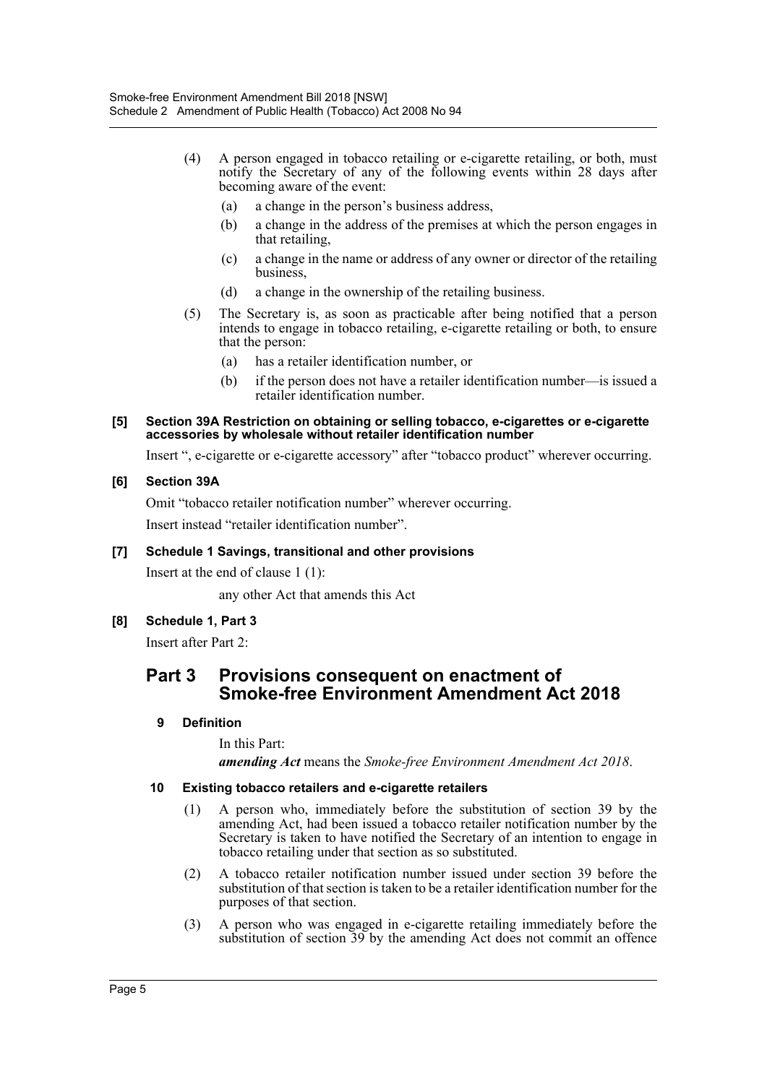- (4) A person engaged in tobacco retailing or e-cigarette retailing, or both, must notify the Secretary of any of the following events within 28 days after becoming aware of the event:
	- (a) a change in the person's business address,
	- (b) a change in the address of the premises at which the person engages in that retailing,
	- (c) a change in the name or address of any owner or director of the retailing business,
	- (d) a change in the ownership of the retailing business.
- (5) The Secretary is, as soon as practicable after being notified that a person intends to engage in tobacco retailing, e-cigarette retailing or both, to ensure that the person:
	- (a) has a retailer identification number, or
	- (b) if the person does not have a retailer identification number—is issued a retailer identification number.

#### **[5] Section 39A Restriction on obtaining or selling tobacco, e-cigarettes or e-cigarette accessories by wholesale without retailer identification number**

Insert ", e-cigarette or e-cigarette accessory" after "tobacco product" wherever occurring.

# **[6] Section 39A**

Omit "tobacco retailer notification number" wherever occurring.

Insert instead "retailer identification number".

# **[7] Schedule 1 Savings, transitional and other provisions**

Insert at the end of clause 1 (1):

any other Act that amends this Act

# **[8] Schedule 1, Part 3**

Insert after Part 2:

# **Part 3 Provisions consequent on enactment of Smoke-free Environment Amendment Act 2018**

# **9 Definition**

In this Part:

*amending Act* means the *Smoke-free Environment Amendment Act 2018*.

#### **10 Existing tobacco retailers and e-cigarette retailers**

- (1) A person who, immediately before the substitution of section 39 by the amending Act, had been issued a tobacco retailer notification number by the Secretary is taken to have notified the Secretary of an intention to engage in tobacco retailing under that section as so substituted.
- (2) A tobacco retailer notification number issued under section 39 before the substitution of that section is taken to be a retailer identification number for the purposes of that section.
- (3) A person who was engaged in e-cigarette retailing immediately before the substitution of section 39 by the amending Act does not commit an offence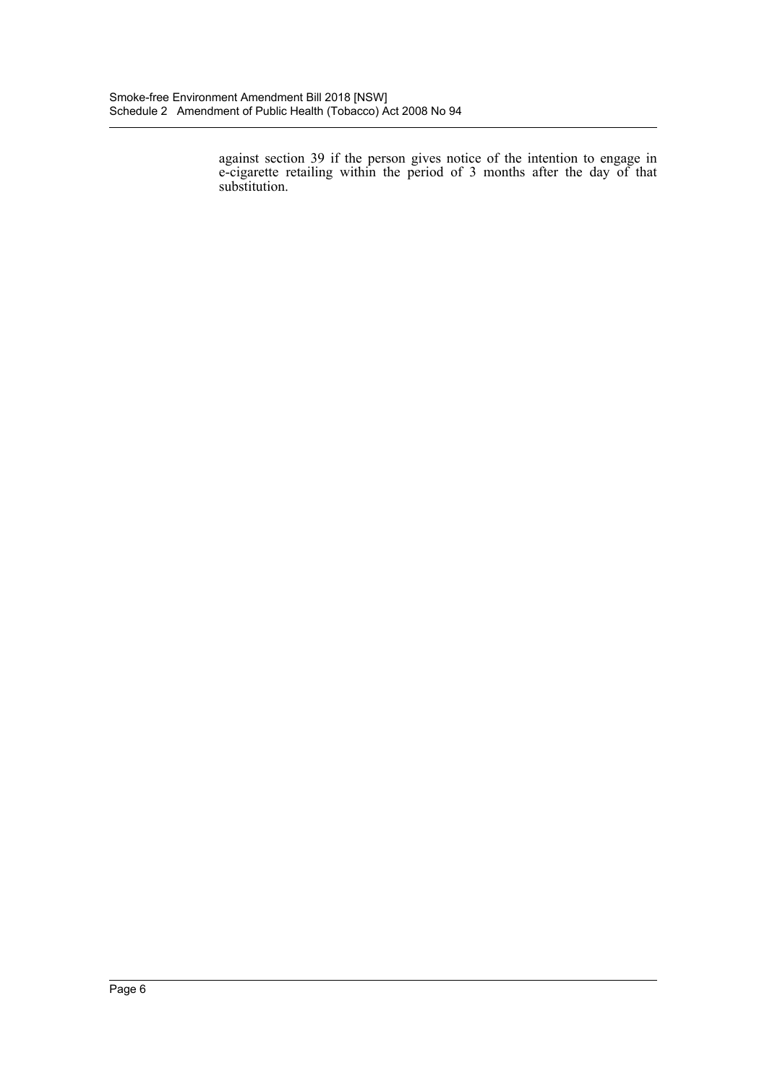against section 39 if the person gives notice of the intention to engage in e-cigarette retailing within the period of 3 months after the day of that substitution.